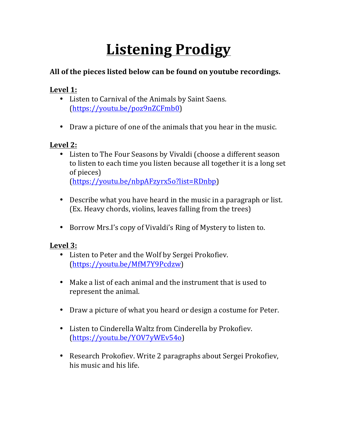# **Listening Prodigy**

### All of the pieces listed below can be found on youtube recordings.

#### Level 1:

- Listen to Carnival of the Animals by Saint Saens. (https://youtu.be/poz9nZCFmb0)
- Draw a picture of one of the animals that you hear in the music.

## Level 2:

- Listen to The Four Seasons by Vivaldi (choose a different season to listen to each time you listen because all together it is a long set of pieces) (https://youtu.be/nbpAFzyrx5o?list=RDnbp)
- Describe what you have heard in the music in a paragraph or list. (Ex. Heavy chords, violins, leaves falling from the trees)
- Borrow Mrs.I's copy of Vivaldi's Ring of Mystery to listen to.

# Level 3:

- Listen to Peter and the Wolf by Sergei Prokofiev. (https://youtu.be/MfM7Y9Pcdzw)
- Make a list of each animal and the instrument that is used to represent the animal.
- Draw a picture of what you heard or design a costume for Peter.
- Listen to Cinderella Waltz from Cinderella by Prokofiev. (https://youtu.be/YOV7yWEv54o)
- Research Prokofiev. Write 2 paragraphs about Sergei Prokofiev, his music and his life.